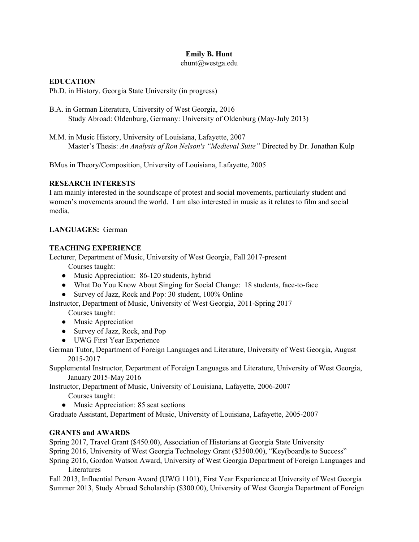# **Emily B. Hunt**

ehunt@westga.edu

#### **EDUCATION**

Ph.D. in History, Georgia State University (in progress)

- B.A. in German Literature, University of West Georgia, 2016 Study Abroad: Oldenburg, Germany: University of Oldenburg (May-July 2013)
- M.M. in Music History, University of Louisiana, Lafayette, 2007 Master's Thesis: *An Analysis of Ron Nelson's "Medieval Suite"* Directed by Dr. Jonathan Kulp

BMus in Theory/Composition, University of Louisiana, Lafayette, 2005

#### **RESEARCH INTERESTS**

I am mainly interested in the soundscape of protest and social movements, particularly student and women's movements around the world. I am also interested in music as it relates to film and social media.

## **LANGUAGES:** German

#### **TEACHING EXPERIENCE**

Lecturer, Department of Music, University of West Georgia, Fall 2017-present

Courses taught:

- Music Appreciation: 86-120 students, hybrid
- What Do You Know About Singing for Social Change: 18 students, face-to-face
- Survey of Jazz, Rock and Pop: 30 student, 100% Online

Instructor, Department of Music, University of West Georgia, 2011-Spring 2017

Courses taught:

- Music Appreciation
- Survey of Jazz, Rock, and Pop
- UWG First Year Experience

German Tutor, Department of Foreign Languages and Literature, University of West Georgia, August 2015-2017

Supplemental Instructor, Department of Foreign Languages and Literature, University of West Georgia, January 2015-May 2016

Instructor, Department of Music, University of Louisiana, Lafayette, 2006-2007

Courses taught:

• Music Appreciation: 85 seat sections

Graduate Assistant, Department of Music, University of Louisiana, Lafayette, 2005-2007

## **GRANTS and AWARDS**

Spring 2017, Travel Grant (\$450.00), Association of Historians at Georgia State University

Spring 2016, University of West Georgia Technology Grant (\$3500.00), "Key(board)s to Success"

Spring 2016, Gordon Watson Award, University of West Georgia Department of Foreign Languages and Literatures

Fall 2013, Influential Person Award (UWG 1101), First Year Experience at University of West Georgia Summer 2013, Study Abroad Scholarship (\$300.00), University of West Georgia Department of Foreign